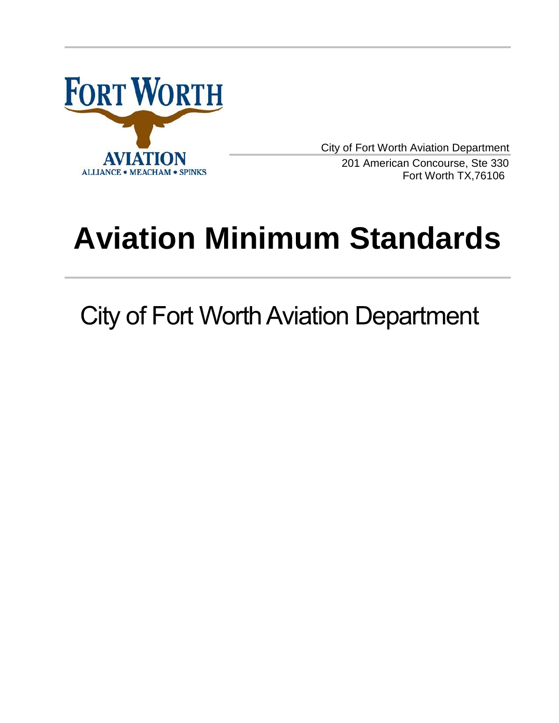

City of Fort Worth Aviation Department

 201 American Concourse, Ste 330 Fort Worth TX,76106

# **Aviation Minimum Standards**

City of Fort Worth Aviation Department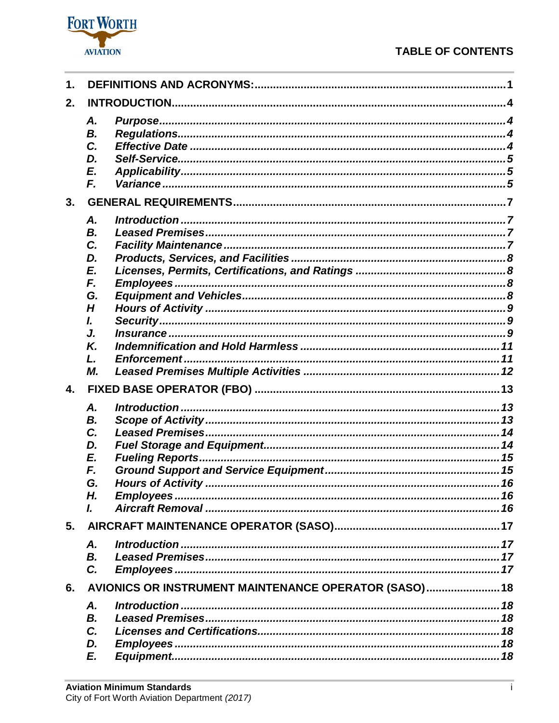# **TABLE OF CONTENTS**



| 1. |                                                       |  |
|----|-------------------------------------------------------|--|
| 2. |                                                       |  |
| 3. | Α.<br>В.<br>C.<br>D.<br>E.<br>F.                      |  |
|    | Α.                                                    |  |
|    | <b>B.</b><br>C.<br>D.<br>E.<br>F.                     |  |
|    | G.<br>H<br>I.                                         |  |
|    | J.<br>Κ.<br>L.<br>М.                                  |  |
| 4. |                                                       |  |
|    | Α.<br>В.<br>C.<br>D.<br>E.<br>F.<br>G.<br>Н.<br>L     |  |
| 5. |                                                       |  |
|    | Α.<br><b>B.</b><br>C.                                 |  |
| 6. | AVIONICS OR INSTRUMENT MAINTENANCE OPERATOR (SASO) 18 |  |
|    | Α.<br>Introduction<br>В.<br>C.<br>D.<br>E.            |  |
|    |                                                       |  |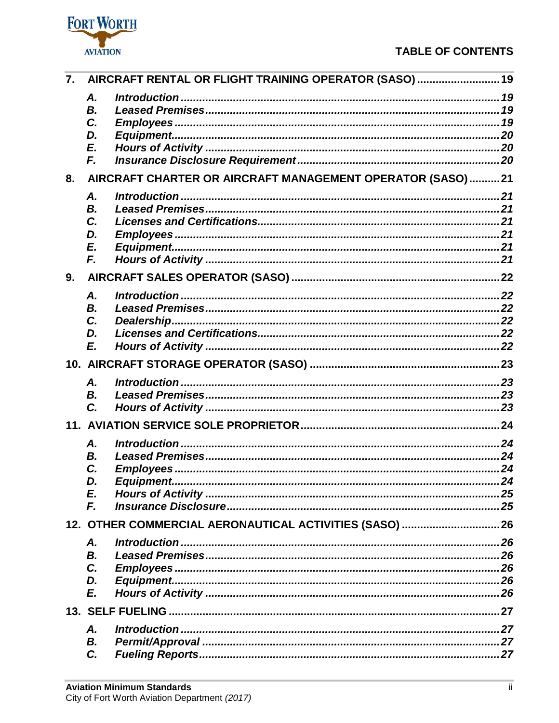

| 7. | AIRCRAFT RENTAL OR FLIGHT TRAINING OPERATOR (SASO) 19     |  |
|----|-----------------------------------------------------------|--|
|    | Α.                                                        |  |
|    | В.                                                        |  |
|    | C.                                                        |  |
|    | D.                                                        |  |
|    | E.                                                        |  |
|    | F.                                                        |  |
| 8. | AIRCRAFT CHARTER OR AIRCRAFT MANAGEMENT OPERATOR (SASO)21 |  |
|    | Α.                                                        |  |
|    | В.                                                        |  |
|    | C.                                                        |  |
|    | D.                                                        |  |
|    | E.                                                        |  |
|    | F.                                                        |  |
| 9. |                                                           |  |
|    | Α.                                                        |  |
|    | В.                                                        |  |
|    | C.                                                        |  |
|    | D.                                                        |  |
|    | E.                                                        |  |
|    |                                                           |  |
|    | <b>A.</b>                                                 |  |
|    | В.                                                        |  |
|    | C.                                                        |  |
|    |                                                           |  |
|    | Α.                                                        |  |
|    | В.                                                        |  |
|    | C.                                                        |  |
|    | D.                                                        |  |
|    | E.                                                        |  |
|    | F.                                                        |  |
|    |                                                           |  |
|    | Α.                                                        |  |
|    | В.                                                        |  |
|    | C.                                                        |  |
|    | D.                                                        |  |
|    | E.                                                        |  |
|    |                                                           |  |
|    | <b>A.</b>                                                 |  |
|    | В.                                                        |  |
|    | C.                                                        |  |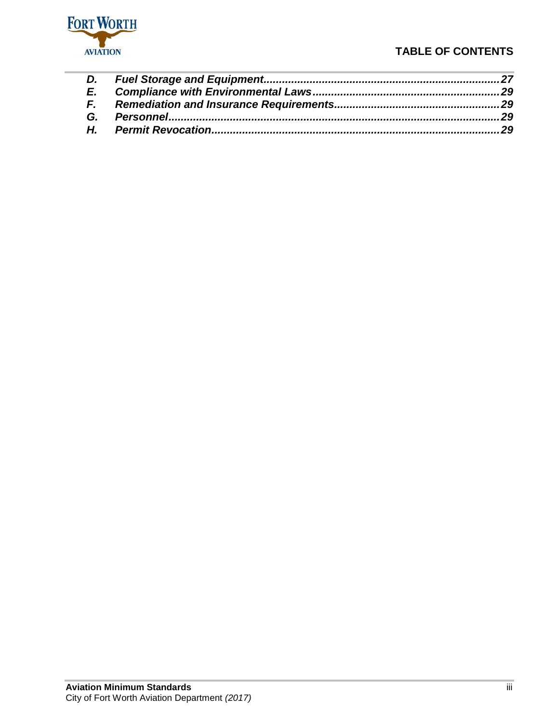

# **TABLE OF CONTENTS**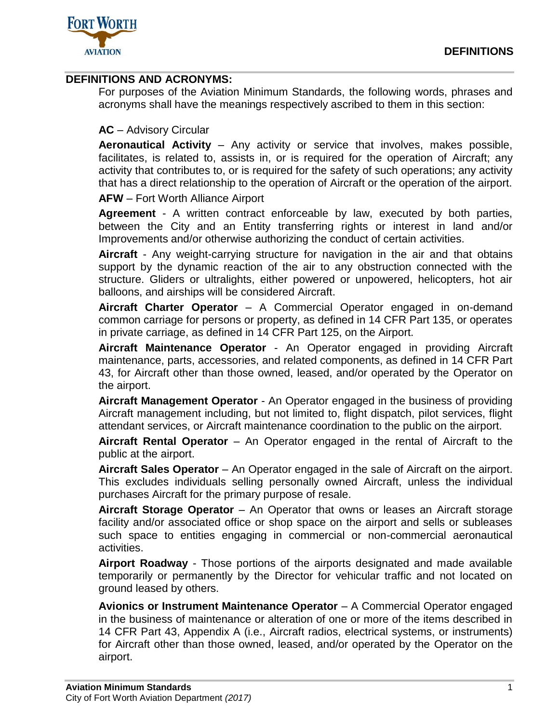

# <span id="page-4-0"></span>**DEFINITIONS AND ACRONYMS:**

For purposes of the Aviation Minimum Standards, the following words, phrases and acronyms shall have the meanings respectively ascribed to them in this section:

# **AC** – Advisory Circular

**Aeronautical Activity** – Any activity or service that involves, makes possible, facilitates, is related to, assists in, or is required for the operation of Aircraft; any activity that contributes to, or is required for the safety of such operations; any activity that has a direct relationship to the operation of Aircraft or the operation of the airport.

**AFW** – Fort Worth Alliance Airport

**Agreement** - A written contract enforceable by law, executed by both parties, between the City and an Entity transferring rights or interest in land and/or Improvements and/or otherwise authorizing the conduct of certain activities.

**Aircraft** - Any weight-carrying structure for navigation in the air and that obtains support by the dynamic reaction of the air to any obstruction connected with the structure. Gliders or ultralights, either powered or unpowered, helicopters, hot air balloons, and airships will be considered Aircraft.

**Aircraft Charter Operator** – A Commercial Operator engaged in on-demand common carriage for persons or property, as defined in 14 CFR Part 135, or operates in private carriage, as defined in 14 CFR Part 125, on the Airport.

**Aircraft Maintenance Operator** - An Operator engaged in providing Aircraft maintenance, parts, accessories, and related components, as defined in 14 CFR Part 43, for Aircraft other than those owned, leased, and/or operated by the Operator on the airport.

**Aircraft Management Operator** - An Operator engaged in the business of providing Aircraft management including, but not limited to, flight dispatch, pilot services, flight attendant services, or Aircraft maintenance coordination to the public on the airport.

**Aircraft Rental Operator** – An Operator engaged in the rental of Aircraft to the public at the airport.

**Aircraft Sales Operator** – An Operator engaged in the sale of Aircraft on the airport. This excludes individuals selling personally owned Aircraft, unless the individual purchases Aircraft for the primary purpose of resale.

**Aircraft Storage Operator** – An Operator that owns or leases an Aircraft storage facility and/or associated office or shop space on the airport and sells or subleases such space to entities engaging in commercial or non-commercial aeronautical activities.

**Airport Roadway** - Those portions of the airports designated and made available temporarily or permanently by the Director for vehicular traffic and not located on ground leased by others.

**Avionics or Instrument Maintenance Operator** – A Commercial Operator engaged in the business of maintenance or alteration of one or more of the items described in 14 CFR Part 43, Appendix A (i.e., Aircraft radios, electrical systems, or instruments) for Aircraft other than those owned, leased, and/or operated by the Operator on the airport.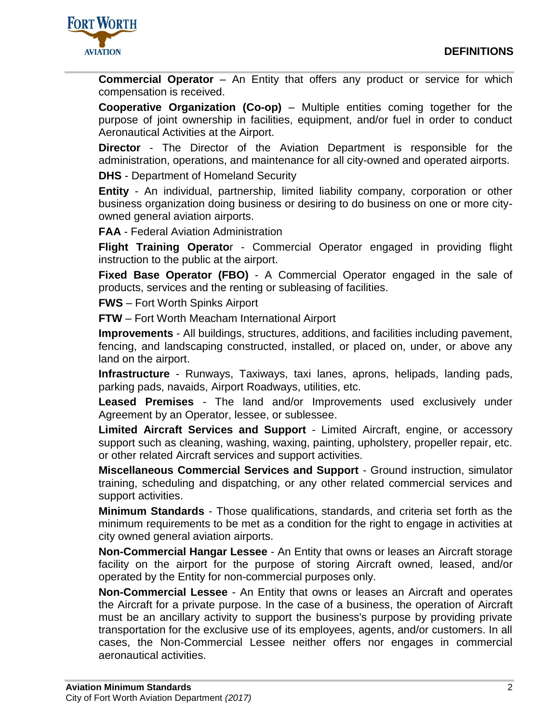

**Commercial Operator** – An Entity that offers any product or service for which compensation is received.

**Cooperative Organization (Co-op)** – Multiple entities coming together for the purpose of joint ownership in facilities, equipment, and/or fuel in order to conduct Aeronautical Activities at the Airport.

**Director** - The Director of the Aviation Department is responsible for the administration, operations, and maintenance for all city-owned and operated airports.

**DHS** - Department of Homeland Security

**Entity** - An individual, partnership, limited liability company, corporation or other business organization doing business or desiring to do business on one or more cityowned general aviation airports.

**FAA** - Federal Aviation Administration

**Flight Training Operato**r - Commercial Operator engaged in providing flight instruction to the public at the airport.

**Fixed Base Operator (FBO)** - A Commercial Operator engaged in the sale of products, services and the renting or subleasing of facilities.

**FWS** – Fort Worth Spinks Airport

**FTW** – Fort Worth Meacham International Airport

**Improvements** - All buildings, structures, additions, and facilities including pavement, fencing, and landscaping constructed, installed, or placed on, under, or above any land on the airport.

**Infrastructure** - Runways, Taxiways, taxi lanes, aprons, helipads, landing pads, parking pads, navaids, Airport Roadways, utilities, etc.

**Leased Premises** - The land and/or Improvements used exclusively under Agreement by an Operator, lessee, or sublessee.

**Limited Aircraft Services and Support** - Limited Aircraft, engine, or accessory support such as cleaning, washing, waxing, painting, upholstery, propeller repair, etc. or other related Aircraft services and support activities.

**Miscellaneous Commercial Services and Support** - Ground instruction, simulator training, scheduling and dispatching, or any other related commercial services and support activities.

**Minimum Standards** - Those qualifications, standards, and criteria set forth as the minimum requirements to be met as a condition for the right to engage in activities at city owned general aviation airports.

**Non-Commercial Hangar Lessee** - An Entity that owns or leases an Aircraft storage facility on the airport for the purpose of storing Aircraft owned, leased, and/or operated by the Entity for non-commercial purposes only.

**Non-Commercial Lessee** - An Entity that owns or leases an Aircraft and operates the Aircraft for a private purpose. In the case of a business, the operation of Aircraft must be an ancillary activity to support the business's purpose by providing private transportation for the exclusive use of its employees, agents, and/or customers. In all cases, the Non-Commercial Lessee neither offers nor engages in commercial aeronautical activities.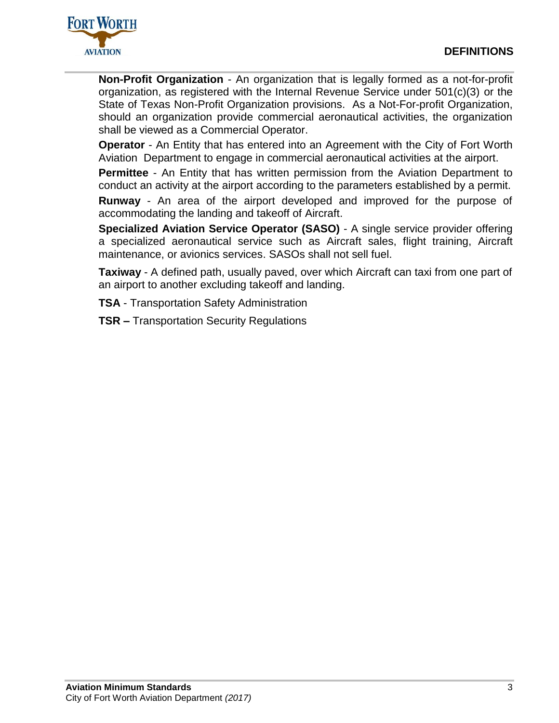

**Non-Profit Organization** - An organization that is legally formed as a not-for-profit organization, as registered with the Internal Revenue Service under 501(c)(3) or the State of Texas Non-Profit Organization provisions. As a Not-For-profit Organization, should an organization provide commercial aeronautical activities, the organization shall be viewed as a Commercial Operator.

**Operator** - An Entity that has entered into an Agreement with the City of Fort Worth Aviation Department to engage in commercial aeronautical activities at the airport.

**Permittee** - An Entity that has written permission from the Aviation Department to conduct an activity at the airport according to the parameters established by a permit.

**Runway** - An area of the airport developed and improved for the purpose of accommodating the landing and takeoff of Aircraft.

**Specialized Aviation Service Operator (SASO)** - A single service provider offering a specialized aeronautical service such as Aircraft sales, flight training, Aircraft maintenance, or avionics services. SASOs shall not sell fuel.

**Taxiway** - A defined path, usually paved, over which Aircraft can taxi from one part of an airport to another excluding takeoff and landing.

**TSA** - Transportation Safety Administration

**TSR –** Transportation Security Regulations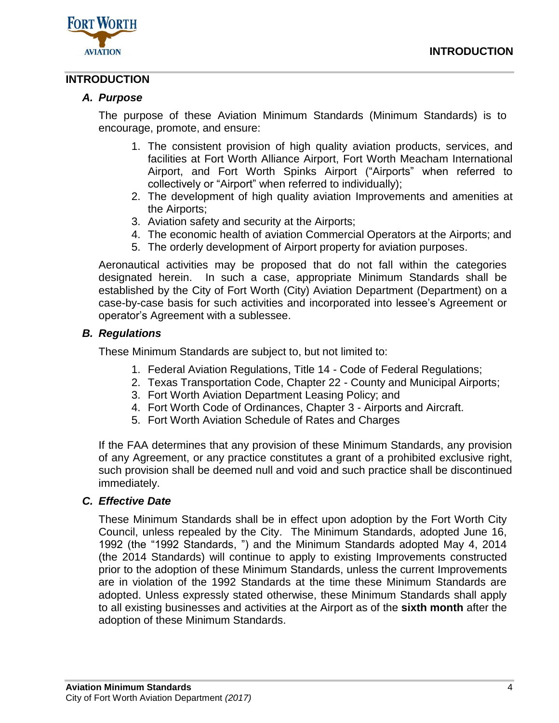



# <span id="page-7-1"></span><span id="page-7-0"></span>**INTRODUCTION**

## *A. Purpose*

The purpose of these Aviation Minimum Standards (Minimum Standards) is to encourage, promote, and ensure:

- 1. The consistent provision of high quality aviation products, services, and facilities at Fort Worth Alliance Airport, Fort Worth Meacham International Airport, and Fort Worth Spinks Airport ("Airports" when referred to collectively or "Airport" when referred to individually);
- 2. The development of high quality aviation Improvements and amenities at the Airports;
- 3. Aviation safety and security at the Airports;
- 4. The economic health of aviation Commercial Operators at the Airports; and
- 5. The orderly development of Airport property for aviation purposes.

Aeronautical activities may be proposed that do not fall within the categories designated herein. In such a case, appropriate Minimum Standards shall be established by the City of Fort Worth (City) Aviation Department (Department) on a case-by-case basis for such activities and incorporated into lessee's Agreement or operator's Agreement with a sublessee.

## <span id="page-7-2"></span>*B. Regulations*

These Minimum Standards are subject to, but not limited to:

- 1. Federal Aviation Regulations, Title 14 Code of Federal Regulations;
- 2. Texas Transportation Code, Chapter 22 County and Municipal Airports;
- 3. Fort Worth Aviation Department Leasing Policy; and
- 4. Fort Worth Code of Ordinances, Chapter 3 Airports and Aircraft.
- 5. Fort Worth Aviation Schedule of Rates and Charges

If the FAA determines that any provision of these Minimum Standards, any provision of any Agreement, or any practice constitutes a grant of a prohibited exclusive right, such provision shall be deemed null and void and such practice shall be discontinued immediately.

## <span id="page-7-3"></span>*C. Effective Date*

These Minimum Standards shall be in effect upon adoption by the Fort Worth City Council, unless repealed by the City. The Minimum Standards, adopted June 16, 1992 (the "1992 Standards, ") and the Minimum Standards adopted May 4, 2014 (the 2014 Standards) will continue to apply to existing Improvements constructed prior to the adoption of these Minimum Standards, unless the current Improvements are in violation of the 1992 Standards at the time these Minimum Standards are adopted. Unless expressly stated otherwise, these Minimum Standards shall apply to all existing businesses and activities at the Airport as of the **sixth month** after the adoption of these Minimum Standards.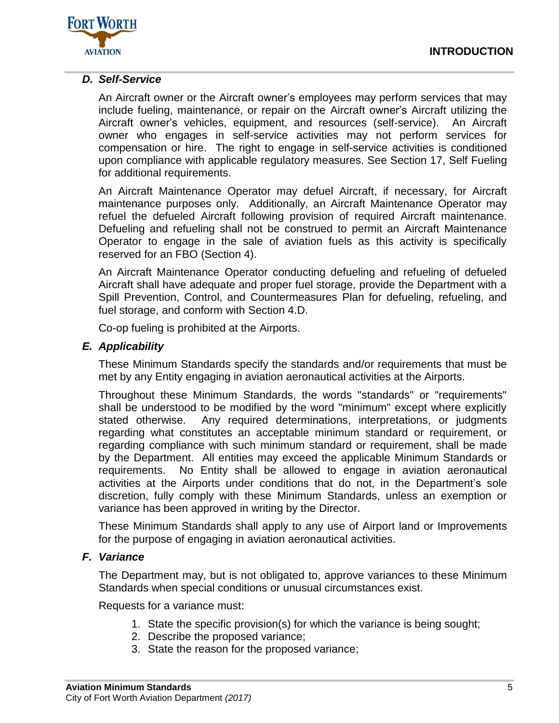

# <span id="page-8-0"></span>*D. Self-Service*

An Aircraft owner or the Aircraft owner's employees may perform services that may include fueling, maintenance, or repair on the Aircraft owner's Aircraft utilizing the Aircraft owner's vehicles, equipment, and resources (self-service). An Aircraft owner who engages in self-service activities may not perform services for compensation or hire. The right to engage in self-service activities is conditioned upon compliance with applicable regulatory measures. See Section 17, Self Fueling for additional requirements.

An Aircraft Maintenance Operator may defuel Aircraft, if necessary, for Aircraft maintenance purposes only. Additionally, an Aircraft Maintenance Operator may refuel the defueled Aircraft following provision of required Aircraft maintenance. Defueling and refueling shall not be construed to permit an Aircraft Maintenance Operator to engage in the sale of aviation fuels as this activity is specifically reserved for an FBO (Section 4).

An Aircraft Maintenance Operator conducting defueling and refueling of defueled Aircraft shall have adequate and proper fuel storage, provide the Department with a Spill Prevention, Control, and Countermeasures Plan for defueling, refueling, and fuel storage, and conform with Section 4.D.

Co-op fueling is prohibited at the Airports.

# <span id="page-8-1"></span>*E. Applicability*

These Minimum Standards specify the standards and/or requirements that must be met by any Entity engaging in aviation aeronautical activities at the Airports.

Throughout these Minimum Standards, the words "standards" or "requirements" shall be understood to be modified by the word "minimum" except where explicitly stated otherwise. Any required determinations, interpretations, or judgments regarding what constitutes an acceptable minimum standard or requirement, or regarding compliance with such minimum standard or requirement, shall be made by the Department. All entities may exceed the applicable Minimum Standards or requirements. No Entity shall be allowed to engage in aviation aeronautical activities at the Airports under conditions that do not, in the Department's sole discretion, fully comply with these Minimum Standards, unless an exemption or variance has been approved in writing by the Director.

These Minimum Standards shall apply to any use of Airport land or Improvements for the purpose of engaging in aviation aeronautical activities.

# <span id="page-8-2"></span>*F. Variance*

The Department may, but is not obligated to, approve variances to these Minimum Standards when special conditions or unusual circumstances exist.

Requests for a variance must:

- 1. State the specific provision(s) for which the variance is being sought;
- 2. Describe the proposed variance;
- 3. State the reason for the proposed variance;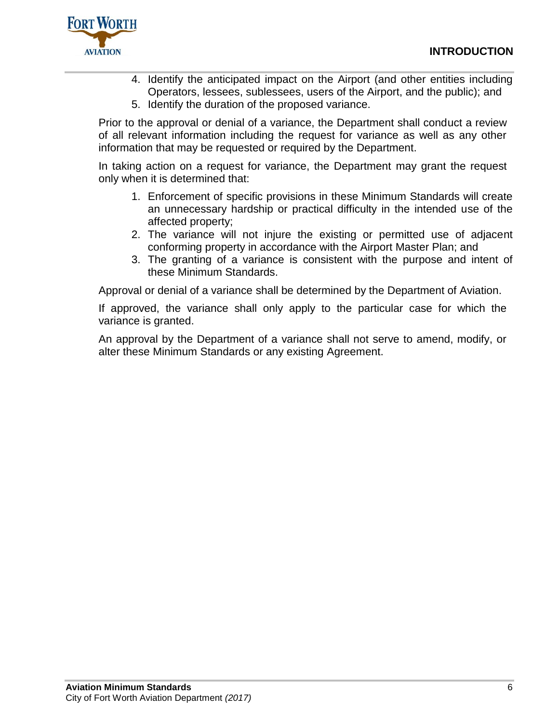

- 4. Identify the anticipated impact on the Airport (and other entities including Operators, lessees, sublessees, users of the Airport, and the public); and
- 5. Identify the duration of the proposed variance.

Prior to the approval or denial of a variance, the Department shall conduct a review of all relevant information including the request for variance as well as any other information that may be requested or required by the Department.

In taking action on a request for variance, the Department may grant the request only when it is determined that:

- 1. Enforcement of specific provisions in these Minimum Standards will create an unnecessary hardship or practical difficulty in the intended use of the affected property;
- 2. The variance will not injure the existing or permitted use of adjacent conforming property in accordance with the Airport Master Plan; and
- 3. The granting of a variance is consistent with the purpose and intent of these Minimum Standards.

Approval or denial of a variance shall be determined by the Department of Aviation.

If approved, the variance shall only apply to the particular case for which the variance is granted.

An approval by the Department of a variance shall not serve to amend, modify, or alter these Minimum Standards or any existing Agreement.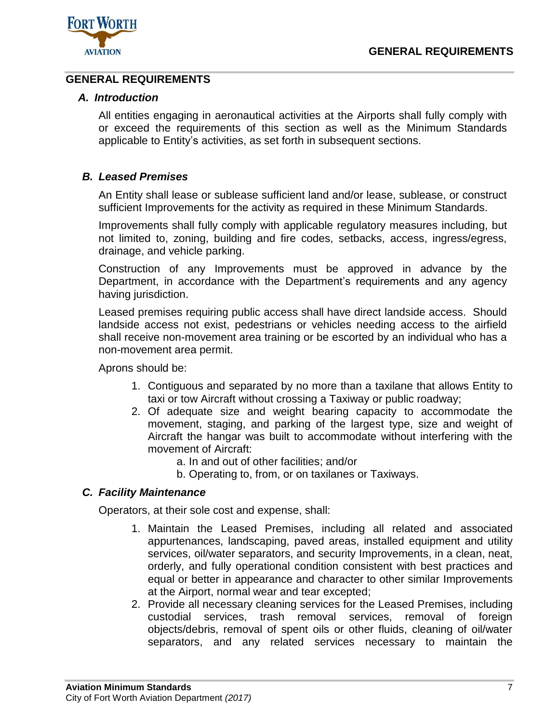

# <span id="page-10-1"></span><span id="page-10-0"></span>**GENERAL REQUIREMENTS**

# *A. Introduction*

All entities engaging in aeronautical activities at the Airports shall fully comply with or exceed the requirements of this section as well as the Minimum Standards applicable to Entity's activities, as set forth in subsequent sections.

# <span id="page-10-2"></span>*B. Leased Premises*

An Entity shall lease or sublease sufficient land and/or lease, sublease, or construct sufficient Improvements for the activity as required in these Minimum Standards.

Improvements shall fully comply with applicable regulatory measures including, but not limited to, zoning, building and fire codes, setbacks, access, ingress/egress, drainage, and vehicle parking.

Construction of any Improvements must be approved in advance by the Department, in accordance with the Department's requirements and any agency having jurisdiction.

Leased premises requiring public access shall have direct landside access. Should landside access not exist, pedestrians or vehicles needing access to the airfield shall receive non-movement area training or be escorted by an individual who has a non-movement area permit.

Aprons should be:

- 1. Contiguous and separated by no more than a taxilane that allows Entity to taxi or tow Aircraft without crossing a Taxiway or public roadway;
- 2. Of adequate size and weight bearing capacity to accommodate the movement, staging, and parking of the largest type, size and weight of Aircraft the hangar was built to accommodate without interfering with the movement of Aircraft:
	- a. In and out of other facilities; and/or
	- b. Operating to, from, or on taxilanes or Taxiways.

# <span id="page-10-3"></span>*C. Facility Maintenance*

Operators, at their sole cost and expense, shall:

- 1. Maintain the Leased Premises, including all related and associated appurtenances, landscaping, paved areas, installed equipment and utility services, oil/water separators, and security Improvements, in a clean, neat, orderly, and fully operational condition consistent with best practices and equal or better in appearance and character to other similar Improvements at the Airport, normal wear and tear excepted;
- 2. Provide all necessary cleaning services for the Leased Premises, including custodial services, trash removal services, removal of foreign objects/debris, removal of spent oils or other fluids, cleaning of oil/water separators, and any related services necessary to maintain the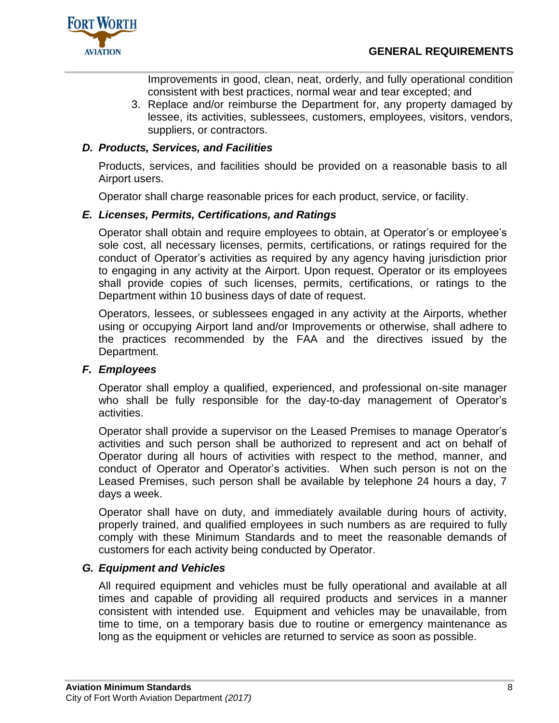

Improvements in good, clean, neat, orderly, and fully operational condition consistent with best practices, normal wear and tear excepted; and

3. Replace and/or reimburse the Department for, any property damaged by lessee, its activities, sublessees, customers, employees, visitors, vendors, suppliers, or contractors.

# <span id="page-11-0"></span>*D. Products, Services, and Facilities*

Products, services, and facilities should be provided on a reasonable basis to all Airport users.

Operator shall charge reasonable prices for each product, service, or facility.

# <span id="page-11-1"></span>*E. Licenses, Permits, Certifications, and Ratings*

Operator shall obtain and require employees to obtain, at Operator's or employee's sole cost, all necessary licenses, permits, certifications, or ratings required for the conduct of Operator's activities as required by any agency having jurisdiction prior to engaging in any activity at the Airport. Upon request, Operator or its employees shall provide copies of such licenses, permits, certifications, or ratings to the Department within 10 business days of date of request.

Operators, lessees, or sublessees engaged in any activity at the Airports, whether using or occupying Airport land and/or Improvements or otherwise, shall adhere to the practices recommended by the FAA and the directives issued by the Department.

# <span id="page-11-2"></span>*F. Employees*

Operator shall employ a qualified, experienced, and professional on-site manager who shall be fully responsible for the day-to-day management of Operator's activities.

Operator shall provide a supervisor on the Leased Premises to manage Operator's activities and such person shall be authorized to represent and act on behalf of Operator during all hours of activities with respect to the method, manner, and conduct of Operator and Operator's activities. When such person is not on the Leased Premises, such person shall be available by telephone 24 hours a day, 7 days a week.

Operator shall have on duty, and immediately available during hours of activity, properly trained, and qualified employees in such numbers as are required to fully comply with these Minimum Standards and to meet the reasonable demands of customers for each activity being conducted by Operator.

# <span id="page-11-3"></span>*G. Equipment and Vehicles*

All required equipment and vehicles must be fully operational and available at all times and capable of providing all required products and services in a manner consistent with intended use. Equipment and vehicles may be unavailable, from time to time, on a temporary basis due to routine or emergency maintenance as long as the equipment or vehicles are returned to service as soon as possible.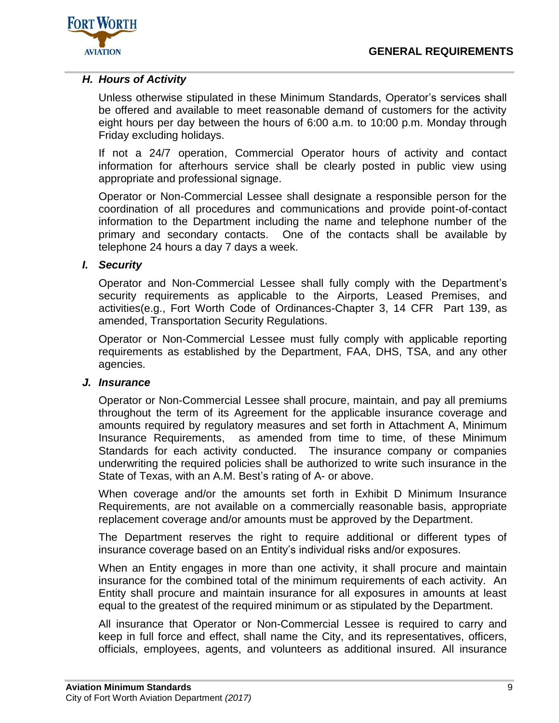

# <span id="page-12-0"></span>*H. Hours of Activity*

Unless otherwise stipulated in these Minimum Standards, Operator's services shall be offered and available to meet reasonable demand of customers for the activity eight hours per day between the hours of 6:00 a.m. to 10:00 p.m. Monday through Friday excluding holidays.

If not a 24/7 operation, Commercial Operator hours of activity and contact information for afterhours service shall be clearly posted in public view using appropriate and professional signage.

Operator or Non-Commercial Lessee shall designate a responsible person for the coordination of all procedures and communications and provide point-of-contact information to the Department including the name and telephone number of the primary and secondary contacts. One of the contacts shall be available by telephone 24 hours a day 7 days a week.

## <span id="page-12-1"></span>*I. Security*

Operator and Non-Commercial Lessee shall fully comply with the Department's security requirements as applicable to the Airports, Leased Premises, and activities(e.g., Fort Worth Code of Ordinances-Chapter 3, 14 CFR Part 139, as amended, Transportation Security Regulations.

Operator or Non-Commercial Lessee must fully comply with applicable reporting requirements as established by the Department, FAA, DHS, TSA, and any other agencies.

#### <span id="page-12-2"></span>*J. Insurance*

Operator or Non-Commercial Lessee shall procure, maintain, and pay all premiums throughout the term of its Agreement for the applicable insurance coverage and amounts required by regulatory measures and set forth in Attachment A, Minimum Insurance Requirements, as amended from time to time, of these Minimum Standards for each activity conducted. The insurance company or companies underwriting the required policies shall be authorized to write such insurance in the State of Texas, with an A.M. Best's rating of A- or above.

When coverage and/or the amounts set forth in Exhibit D Minimum Insurance Requirements, are not available on a commercially reasonable basis, appropriate replacement coverage and/or amounts must be approved by the Department.

The Department reserves the right to require additional or different types of insurance coverage based on an Entity's individual risks and/or exposures.

When an Entity engages in more than one activity, it shall procure and maintain insurance for the combined total of the minimum requirements of each activity. An Entity shall procure and maintain insurance for all exposures in amounts at least equal to the greatest of the required minimum or as stipulated by the Department.

All insurance that Operator or Non-Commercial Lessee is required to carry and keep in full force and effect, shall name the City, and its representatives, officers, officials, employees, agents, and volunteers as additional insured. All insurance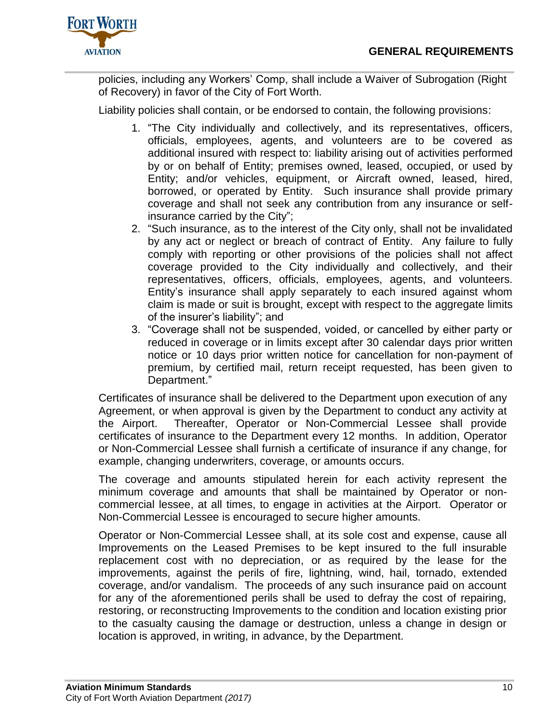

policies, including any Workers' Comp, shall include a Waiver of Subrogation (Right of Recovery) in favor of the City of Fort Worth.

Liability policies shall contain, or be endorsed to contain, the following provisions:

- 1. "The City individually and collectively, and its representatives, officers, officials, employees, agents, and volunteers are to be covered as additional insured with respect to: liability arising out of activities performed by or on behalf of Entity; premises owned, leased, occupied, or used by Entity; and/or vehicles, equipment, or Aircraft owned, leased, hired, borrowed, or operated by Entity. Such insurance shall provide primary coverage and shall not seek any contribution from any insurance or selfinsurance carried by the City";
- 2. "Such insurance, as to the interest of the City only, shall not be invalidated by any act or neglect or breach of contract of Entity. Any failure to fully comply with reporting or other provisions of the policies shall not affect coverage provided to the City individually and collectively, and their representatives, officers, officials, employees, agents, and volunteers. Entity's insurance shall apply separately to each insured against whom claim is made or suit is brought, except with respect to the aggregate limits of the insurer's liability"; and
- 3. "Coverage shall not be suspended, voided, or cancelled by either party or reduced in coverage or in limits except after 30 calendar days prior written notice or 10 days prior written notice for cancellation for non-payment of premium, by certified mail, return receipt requested, has been given to Department."

Certificates of insurance shall be delivered to the Department upon execution of any Agreement, or when approval is given by the Department to conduct any activity at the Airport. Thereafter, Operator or Non-Commercial Lessee shall provide certificates of insurance to the Department every 12 months. In addition, Operator or Non-Commercial Lessee shall furnish a certificate of insurance if any change, for example, changing underwriters, coverage, or amounts occurs.

The coverage and amounts stipulated herein for each activity represent the minimum coverage and amounts that shall be maintained by Operator or noncommercial lessee, at all times, to engage in activities at the Airport. Operator or Non-Commercial Lessee is encouraged to secure higher amounts.

Operator or Non-Commercial Lessee shall, at its sole cost and expense, cause all Improvements on the Leased Premises to be kept insured to the full insurable replacement cost with no depreciation, or as required by the lease for the improvements, against the perils of fire, lightning, wind, hail, tornado, extended coverage, and/or vandalism. The proceeds of any such insurance paid on account for any of the aforementioned perils shall be used to defray the cost of repairing, restoring, or reconstructing Improvements to the condition and location existing prior to the casualty causing the damage or destruction, unless a change in design or location is approved, in writing, in advance, by the Department.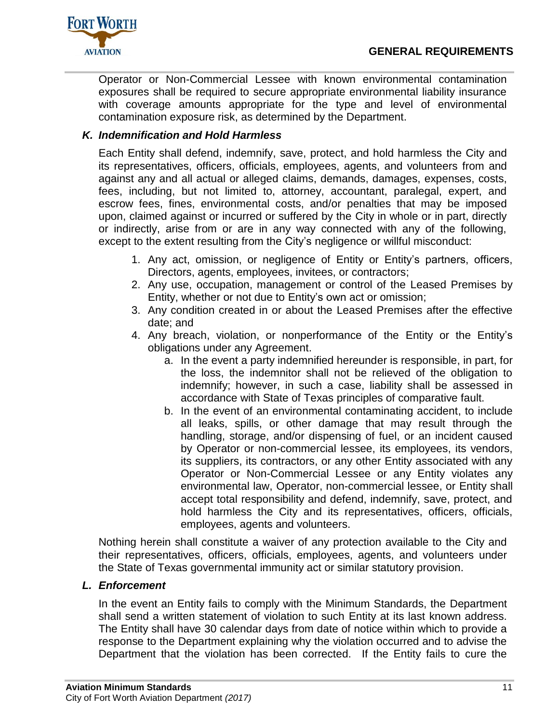

Operator or Non-Commercial Lessee with known environmental contamination exposures shall be required to secure appropriate environmental liability insurance with coverage amounts appropriate for the type and level of environmental contamination exposure risk, as determined by the Department.

# <span id="page-14-0"></span>*K. Indemnification and Hold Harmless*

Each Entity shall defend, indemnify, save, protect, and hold harmless the City and its representatives, officers, officials, employees, agents, and volunteers from and against any and all actual or alleged claims, demands, damages, expenses, costs, fees, including, but not limited to, attorney, accountant, paralegal, expert, and escrow fees, fines, environmental costs, and/or penalties that may be imposed upon, claimed against or incurred or suffered by the City in whole or in part, directly or indirectly, arise from or are in any way connected with any of the following, except to the extent resulting from the City's negligence or willful misconduct:

- 1. Any act, omission, or negligence of Entity or Entity's partners, officers, Directors, agents, employees, invitees, or contractors;
- 2. Any use, occupation, management or control of the Leased Premises by Entity, whether or not due to Entity's own act or omission;
- 3. Any condition created in or about the Leased Premises after the effective date; and
- 4. Any breach, violation, or nonperformance of the Entity or the Entity's obligations under any Agreement.
	- a. In the event a party indemnified hereunder is responsible, in part, for the loss, the indemnitor shall not be relieved of the obligation to indemnify; however, in such a case, liability shall be assessed in accordance with State of Texas principles of comparative fault.
	- b. In the event of an environmental contaminating accident, to include all leaks, spills, or other damage that may result through the handling, storage, and/or dispensing of fuel, or an incident caused by Operator or non-commercial lessee, its employees, its vendors, its suppliers, its contractors, or any other Entity associated with any Operator or Non-Commercial Lessee or any Entity violates any environmental law, Operator, non-commercial lessee, or Entity shall accept total responsibility and defend, indemnify, save, protect, and hold harmless the City and its representatives, officers, officials, employees, agents and volunteers.

Nothing herein shall constitute a waiver of any protection available to the City and their representatives, officers, officials, employees, agents, and volunteers under the State of Texas governmental immunity act or similar statutory provision.

# <span id="page-14-1"></span>*L. Enforcement*

In the event an Entity fails to comply with the Minimum Standards, the Department shall send a written statement of violation to such Entity at its last known address. The Entity shall have 30 calendar days from date of notice within which to provide a response to the Department explaining why the violation occurred and to advise the Department that the violation has been corrected. If the Entity fails to cure the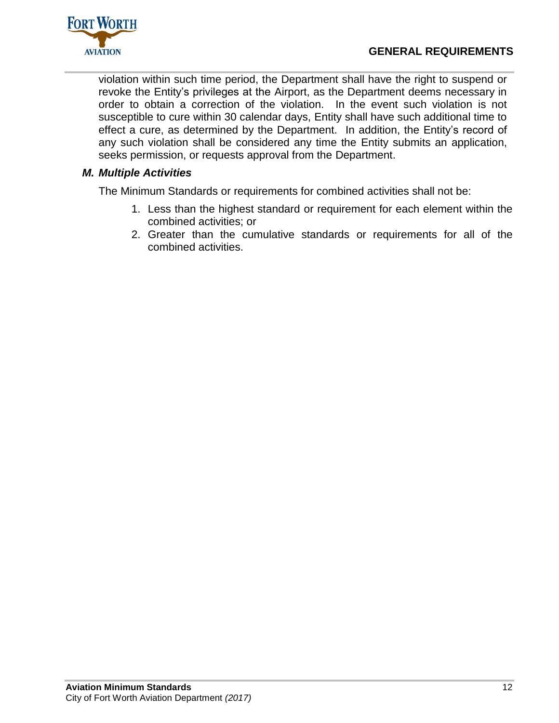

violation within such time period, the Department shall have the right to suspend or revoke the Entity's privileges at the Airport, as the Department deems necessary in order to obtain a correction of the violation. In the event such violation is not susceptible to cure within 30 calendar days, Entity shall have such additional time to effect a cure, as determined by the Department. In addition, the Entity's record of any such violation shall be considered any time the Entity submits an application, seeks permission, or requests approval from the Department.

# <span id="page-15-0"></span>*M. Multiple Activities*

The Minimum Standards or requirements for combined activities shall not be:

- 1. Less than the highest standard or requirement for each element within the combined activities; or
- 2. Greater than the cumulative standards or requirements for all of the combined activities.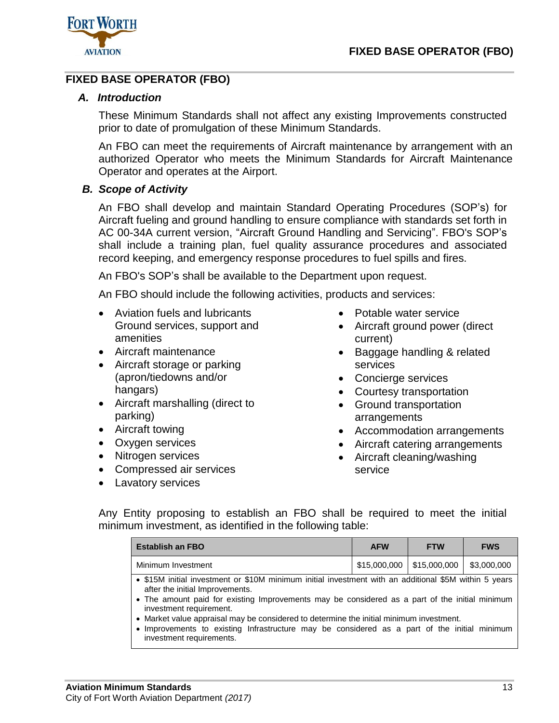

# <span id="page-16-1"></span><span id="page-16-0"></span>**FIXED BASE OPERATOR (FBO)**

# *A. Introduction*

These Minimum Standards shall not affect any existing Improvements constructed prior to date of promulgation of these Minimum Standards.

An FBO can meet the requirements of Aircraft maintenance by arrangement with an authorized Operator who meets the Minimum Standards for Aircraft Maintenance Operator and operates at the Airport.

## <span id="page-16-2"></span>*B. Scope of Activity*

An FBO shall develop and maintain Standard Operating Procedures (SOP's) for Aircraft fueling and ground handling to ensure compliance with standards set forth in AC 00-34A current version, "Aircraft Ground Handling and Servicing". FBO's SOP's shall include a training plan, fuel quality assurance procedures and associated record keeping, and emergency response procedures to fuel spills and fires.

An FBO's SOP's shall be available to the Department upon request.

An FBO should include the following activities, products and services:

- Aviation fuels and lubricants Ground services, support and amenities
- Aircraft maintenance
- Aircraft storage or parking (apron/tiedowns and/or hangars)
- Aircraft marshalling (direct to parking)
- Aircraft towing
- Oxygen services
- Nitrogen services
- Compressed air services
- Lavatory services
- Potable water service
- Aircraft ground power (direct current)
- Baggage handling & related services
- Concierge services
- Courtesy transportation
- Ground transportation arrangements
- Accommodation arrangements
- Aircraft catering arrangements
- Aircraft cleaning/washing service

Any Entity proposing to establish an FBO shall be required to meet the initial minimum investment, as identified in the following table:

| <b>Establish an FBO</b>                                                                               | <b>AFW</b> | <b>FTW</b>                                                    | <b>FWS</b> |
|-------------------------------------------------------------------------------------------------------|------------|---------------------------------------------------------------|------------|
| Minimum Investment                                                                                    |            | $\vert$ \$15,000,000 $\vert$ \$15,000,000 $\vert$ \$3,000,000 |            |
| • \$15M initial investment or \$10M minimum initial investment with an additional \$5M within 5 years |            |                                                               |            |

after the initial Improvements.

- The amount paid for existing Improvements may be considered as a part of the initial minimum investment requirement.
- Market value appraisal may be considered to determine the initial minimum investment.
- Improvements to existing Infrastructure may be considered as a part of the initial minimum investment requirements.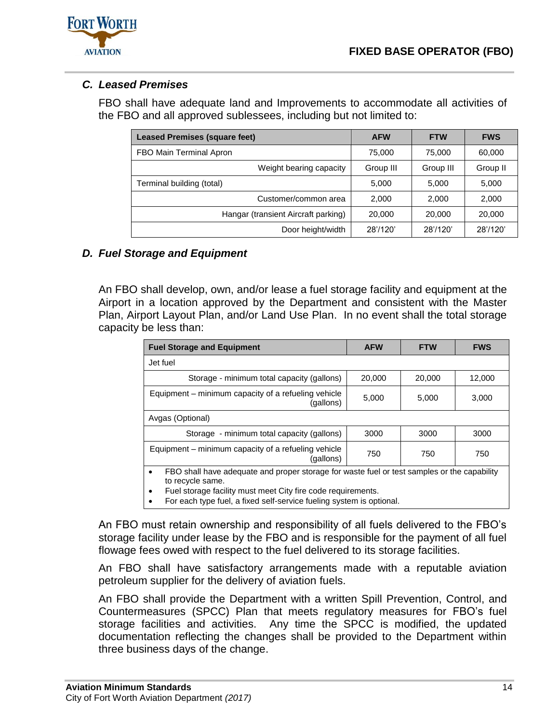



# <span id="page-17-0"></span>*C. Leased Premises*

FBO shall have adequate land and Improvements to accommodate all activities of the FBO and all approved sublessees, including but not limited to:

| <b>Leased Premises (square feet)</b> | <b>AFW</b> | <b>FTW</b> | <b>FWS</b> |
|--------------------------------------|------------|------------|------------|
| FBO Main Terminal Apron              | 75,000     | 75,000     | 60,000     |
| Weight bearing capacity              | Group III  | Group III  | Group II   |
| Terminal building (total)            | 5,000      | 5,000      | 5,000      |
| Customer/common area                 | 2.000      | 2.000      | 2,000      |
| Hangar (transient Aircraft parking)  | 20,000     | 20,000     | 20,000     |
| Door height/width                    | 28'/120'   | 28'/120'   | 28'/120'   |

# <span id="page-17-1"></span>*D. Fuel Storage and Equipment*

An FBO shall develop, own, and/or lease a fuel storage facility and equipment at the Airport in a location approved by the Department and consistent with the Master Plan, Airport Layout Plan, and/or Land Use Plan. In no event shall the total storage capacity be less than:

| <b>Fuel Storage and Equipment</b>                                                                                            | <b>AFW</b> | <b>FTW</b> | <b>FWS</b> |  |  |  |
|------------------------------------------------------------------------------------------------------------------------------|------------|------------|------------|--|--|--|
| Jet fuel                                                                                                                     |            |            |            |  |  |  |
| Storage - minimum total capacity (gallons)                                                                                   | 20,000     | 20,000     | 12,000     |  |  |  |
| Equipment – minimum capacity of a refueling vehicle<br>(gallons)                                                             | 5,000      | 5,000      | 3,000      |  |  |  |
| Avgas (Optional)                                                                                                             |            |            |            |  |  |  |
| Storage - minimum total capacity (gallons)                                                                                   | 3000       | 3000       | 3000       |  |  |  |
| Equipment - minimum capacity of a refueling vehicle<br>(gallons)                                                             | 750        | 750        | 750        |  |  |  |
| FBO shall have adequate and proper storage for waste fuel or test samples or the capability<br>$\bullet$<br>to recycle same. |            |            |            |  |  |  |

Fuel storage facility must meet City fire code requirements.

For each type fuel, a fixed self-service fueling system is optional.

An FBO must retain ownership and responsibility of all fuels delivered to the FBO's storage facility under lease by the FBO and is responsible for the payment of all fuel flowage fees owed with respect to the fuel delivered to its storage facilities.

An FBO shall have satisfactory arrangements made with a reputable aviation petroleum supplier for the delivery of aviation fuels.

An FBO shall provide the Department with a written Spill Prevention, Control, and Countermeasures (SPCC) Plan that meets regulatory measures for FBO's fuel storage facilities and activities. Any time the SPCC is modified, the updated documentation reflecting the changes shall be provided to the Department within three business days of the change.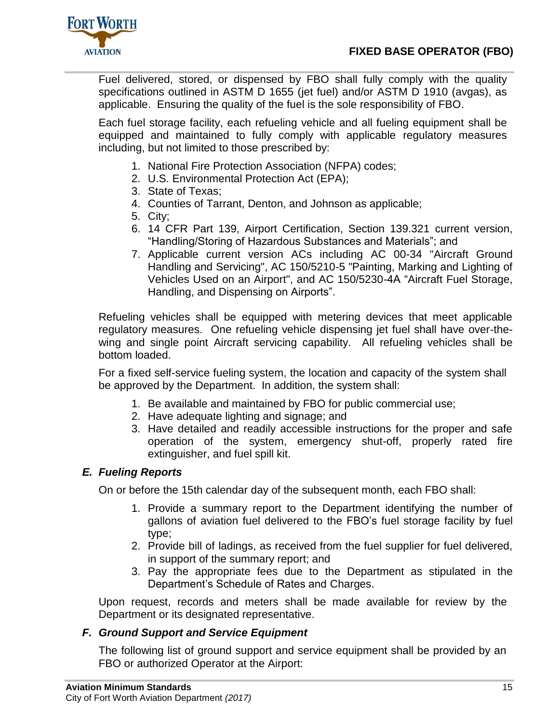

Fuel delivered, stored, or dispensed by FBO shall fully comply with the quality specifications outlined in ASTM D 1655 (jet fuel) and/or ASTM D 1910 (avgas), as applicable. Ensuring the quality of the fuel is the sole responsibility of FBO.

Each fuel storage facility, each refueling vehicle and all fueling equipment shall be equipped and maintained to fully comply with applicable regulatory measures including, but not limited to those prescribed by:

- 1. National Fire Protection Association (NFPA) codes;
- 2. U.S. Environmental Protection Act (EPA);
- 3. State of Texas;
- 4. Counties of Tarrant, Denton, and Johnson as applicable;
- 5. City;
- 6. 14 CFR Part 139, Airport Certification, Section 139.321 current version, "Handling/Storing of Hazardous Substances and Materials"; and
- 7. Applicable current version ACs including AC 00-34 "Aircraft Ground Handling and Servicing", AC 150/5210-5 "Painting, Marking and Lighting of Vehicles Used on an Airport", and AC 150/5230-4A "Aircraft Fuel Storage, Handling, and Dispensing on Airports".

Refueling vehicles shall be equipped with metering devices that meet applicable regulatory measures. One refueling vehicle dispensing jet fuel shall have over-thewing and single point Aircraft servicing capability. All refueling vehicles shall be bottom loaded.

For a fixed self-service fueling system, the location and capacity of the system shall be approved by the Department. In addition, the system shall:

- 1. Be available and maintained by FBO for public commercial use;
- 2. Have adequate lighting and signage; and
- 3. Have detailed and readily accessible instructions for the proper and safe operation of the system, emergency shut-off, properly rated fire extinguisher, and fuel spill kit.

# <span id="page-18-0"></span>*E. Fueling Reports*

On or before the 15th calendar day of the subsequent month, each FBO shall:

- 1. Provide a summary report to the Department identifying the number of gallons of aviation fuel delivered to the FBO's fuel storage facility by fuel type;
- 2. Provide bill of ladings, as received from the fuel supplier for fuel delivered, in support of the summary report; and
- 3. Pay the appropriate fees due to the Department as stipulated in the Department's Schedule of Rates and Charges.

Upon request, records and meters shall be made available for review by the Department or its designated representative.

# <span id="page-18-1"></span>*F. Ground Support and Service Equipment*

The following list of ground support and service equipment shall be provided by an FBO or authorized Operator at the Airport: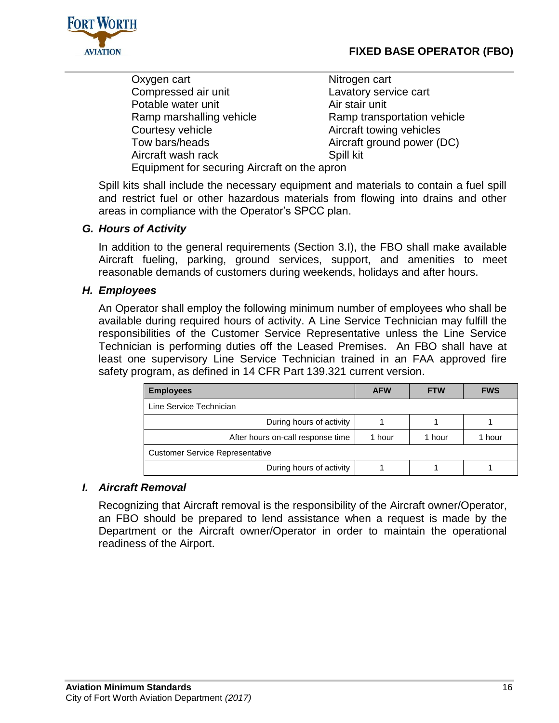

Oxygen cart Nitrogen cart Compressed air unit Lavatory service cart Potable water unit **Air stair unit** Air stair unit Ramp marshalling vehicle Ramp transportation vehicle Courtesy vehicle **Aircraft towing vehicles**<br>
Tow bars/heads **Aircraft of Aircraft of the County County** Aircraft of the May Aircraft of the May Aircraft of the May Aircraft of the May Aircraft of the May Aircraft of the Ma Aircraft wash rack Spill kit Equipment for securing Aircraft on the apron

Aircraft ground power (DC)

Spill kits shall include the necessary equipment and materials to contain a fuel spill and restrict fuel or other hazardous materials from flowing into drains and other areas in compliance with the Operator's SPCC plan.

# <span id="page-19-0"></span>*G. Hours of Activity*

In addition to the general requirements (Section 3.I), the FBO shall make available Aircraft fueling, parking, ground services, support, and amenities to meet reasonable demands of customers during weekends, holidays and after hours.

# <span id="page-19-1"></span>*H. Employees*

An Operator shall employ the following minimum number of employees who shall be available during required hours of activity. A Line Service Technician may fulfill the responsibilities of the Customer Service Representative unless the Line Service Technician is performing duties off the Leased Premises. An FBO shall have at least one supervisory Line Service Technician trained in an FAA approved fire safety program, as defined in 14 CFR Part 139.321 current version.

| <b>Employees</b>                       | <b>AFW</b> | <b>FTW</b> | <b>FWS</b> |  |
|----------------------------------------|------------|------------|------------|--|
| Line Service Technician                |            |            |            |  |
| During hours of activity               |            |            |            |  |
| After hours on-call response time      | 1 hour     | 1 hour     | 1 hour     |  |
| <b>Customer Service Representative</b> |            |            |            |  |
| During hours of activity               |            |            |            |  |

#### <span id="page-19-2"></span>*I. Aircraft Removal*

Recognizing that Aircraft removal is the responsibility of the Aircraft owner/Operator, an FBO should be prepared to lend assistance when a request is made by the Department or the Aircraft owner/Operator in order to maintain the operational readiness of the Airport.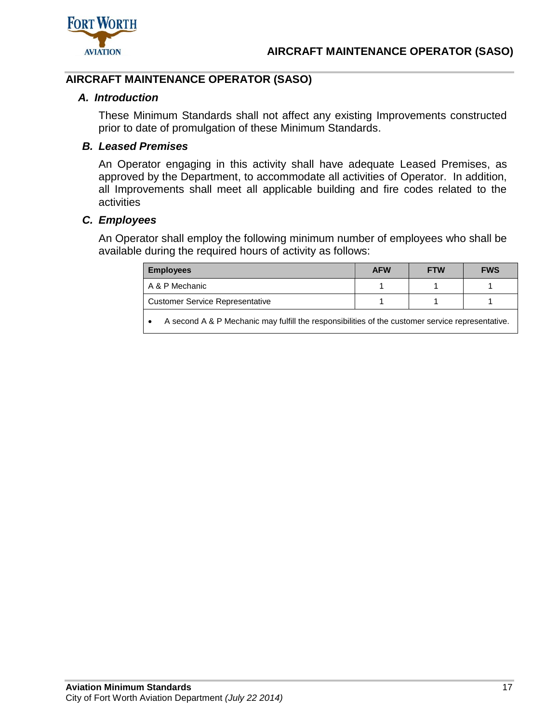

# <span id="page-20-1"></span><span id="page-20-0"></span>**AIRCRAFT MAINTENANCE OPERATOR (SASO)**

## *A. Introduction*

These Minimum Standards shall not affect any existing Improvements constructed prior to date of promulgation of these Minimum Standards.

# <span id="page-20-2"></span>*B. Leased Premises*

An Operator engaging in this activity shall have adequate Leased Premises, as approved by the Department, to accommodate all activities of Operator. In addition, all Improvements shall meet all applicable building and fire codes related to the activities

## <span id="page-20-3"></span>*C. Employees*

An Operator shall employ the following minimum number of employees who shall be available during the required hours of activity as follows:

| <b>Employees</b>                                                                                 | <b>AFW</b> | <b>FTW</b> | <b>FWS</b> |
|--------------------------------------------------------------------------------------------------|------------|------------|------------|
| A & P Mechanic                                                                                   |            |            |            |
| <b>Customer Service Representative</b>                                                           |            |            |            |
| A second A & P Mechanic may fulfill the responsibilities of the customer service representative. |            |            |            |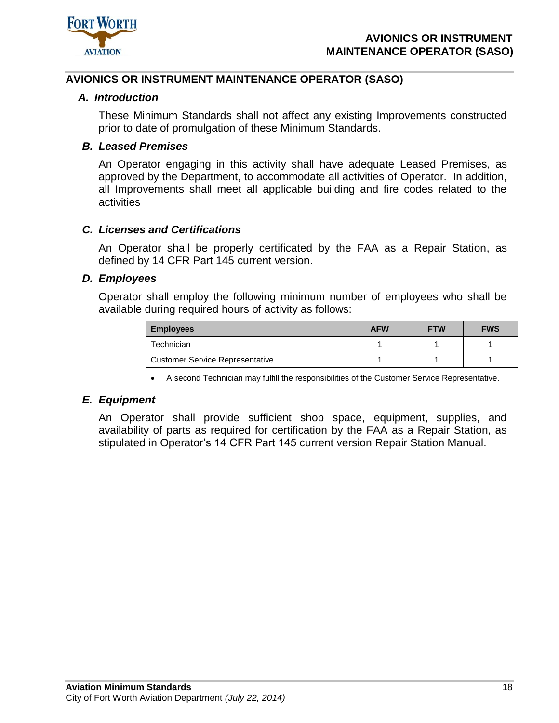

## <span id="page-21-1"></span><span id="page-21-0"></span>**AVIONICS OR INSTRUMENT MAINTENANCE OPERATOR (SASO)**

#### *A. Introduction*

These Minimum Standards shall not affect any existing Improvements constructed prior to date of promulgation of these Minimum Standards.

## <span id="page-21-2"></span>*B. Leased Premises*

An Operator engaging in this activity shall have adequate Leased Premises, as approved by the Department, to accommodate all activities of Operator. In addition, all Improvements shall meet all applicable building and fire codes related to the activities

#### <span id="page-21-3"></span>*C. Licenses and Certifications*

An Operator shall be properly certificated by the FAA as a Repair Station, as defined by 14 CFR Part 145 current version.

#### <span id="page-21-4"></span>*D. Employees*

Operator shall employ the following minimum number of employees who shall be available during required hours of activity as follows:

| <b>Employees</b>                       | <b>AFW</b> | <b>FTW</b> | <b>FWS</b> |
|----------------------------------------|------------|------------|------------|
| Technician                             |            |            |            |
| <b>Customer Service Representative</b> |            |            |            |
|                                        |            |            |            |

A second Technician may fulfill the responsibilities of the Customer Service Representative.

#### <span id="page-21-5"></span>*E. Equipment*

An Operator shall provide sufficient shop space, equipment, supplies, and availability of parts as required for certification by the FAA as a Repair Station, as stipulated in Operator's 14 CFR Part 145 current version Repair Station Manual.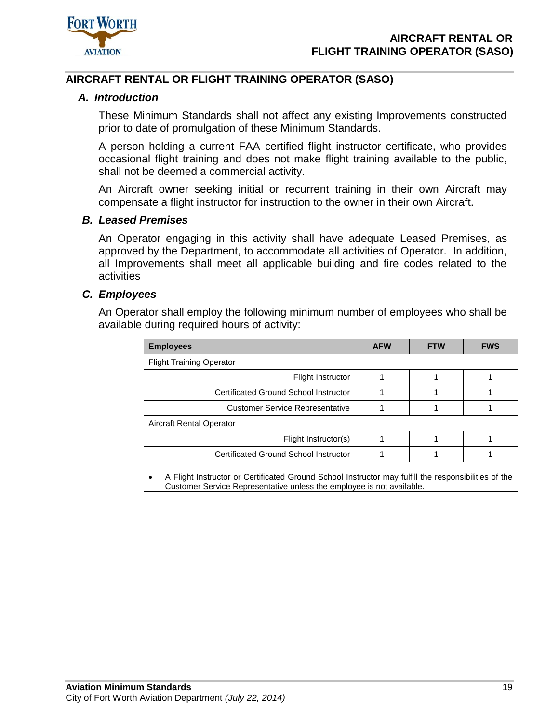

# <span id="page-22-1"></span><span id="page-22-0"></span>**AIRCRAFT RENTAL OR FLIGHT TRAINING OPERATOR (SASO)**

## *A. Introduction*

These Minimum Standards shall not affect any existing Improvements constructed prior to date of promulgation of these Minimum Standards.

A person holding a current FAA certified flight instructor certificate, who provides occasional flight training and does not make flight training available to the public, shall not be deemed a commercial activity.

An Aircraft owner seeking initial or recurrent training in their own Aircraft may compensate a flight instructor for instruction to the owner in their own Aircraft.

#### <span id="page-22-2"></span>*B. Leased Premises*

An Operator engaging in this activity shall have adequate Leased Premises, as approved by the Department, to accommodate all activities of Operator. In addition, all Improvements shall meet all applicable building and fire codes related to the activities

## <span id="page-22-3"></span>*C. Employees*

An Operator shall employ the following minimum number of employees who shall be available during required hours of activity:

| <b>Employees</b>                                                                                                                                                                           | <b>AFW</b> | <b>FTW</b> | <b>FWS</b> |  |  |  |
|--------------------------------------------------------------------------------------------------------------------------------------------------------------------------------------------|------------|------------|------------|--|--|--|
| <b>Flight Training Operator</b>                                                                                                                                                            |            |            |            |  |  |  |
| Flight Instructor                                                                                                                                                                          |            |            |            |  |  |  |
| Certificated Ground School Instructor                                                                                                                                                      |            |            |            |  |  |  |
| <b>Customer Service Representative</b>                                                                                                                                                     |            |            |            |  |  |  |
| Aircraft Rental Operator                                                                                                                                                                   |            |            |            |  |  |  |
| Flight Instructor(s)                                                                                                                                                                       |            |            |            |  |  |  |
| Certificated Ground School Instructor                                                                                                                                                      |            |            |            |  |  |  |
| A Flight Instructor or Certificated Ground School Instructor may fulfill the responsibilities of the<br>$\bullet$<br>Customer Service Representative unless the employee is not available. |            |            |            |  |  |  |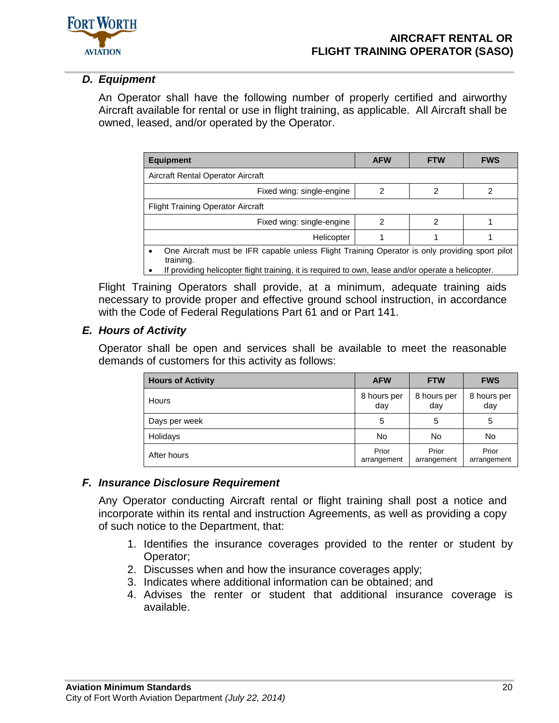

# <span id="page-23-0"></span>*D. Equipment*

An Operator shall have the following number of properly certified and airworthy Aircraft available for rental or use in flight training, as applicable. All Aircraft shall be owned, leased, and/or operated by the Operator.

| <b>Equipment</b>                                                                                            | <b>AFW</b> | <b>FTW</b> | <b>FWS</b> |  |  |
|-------------------------------------------------------------------------------------------------------------|------------|------------|------------|--|--|
| Aircraft Rental Operator Aircraft                                                                           |            |            |            |  |  |
| Fixed wing: single-engine                                                                                   |            |            |            |  |  |
| Flight Training Operator Aircraft                                                                           |            |            |            |  |  |
| Fixed wing: single-engine                                                                                   | 2          | 2          |            |  |  |
| Helicopter                                                                                                  |            |            |            |  |  |
| One Aircraft must be IFR capable unless Flight Training Operator is only providing sport pilot<br>training. |            |            |            |  |  |

If providing helicopter flight training, it is required to own, lease and/or operate a helicopter.

Flight Training Operators shall provide, at a minimum, adequate training aids necessary to provide proper and effective ground school instruction, in accordance with the Code of Federal Regulations Part 61 and or Part 141.

# <span id="page-23-1"></span>*E. Hours of Activity*

Operator shall be open and services shall be available to meet the reasonable demands of customers for this activity as follows:

| <b>Hours of Activity</b> | <b>AFW</b>           | <b>FTW</b>           | <b>FWS</b>           |
|--------------------------|----------------------|----------------------|----------------------|
| Hours                    | 8 hours per<br>day   | 8 hours per<br>day   | 8 hours per<br>day   |
| Days per week            | 5                    | 5                    | 5                    |
| Holidays                 | No                   | No                   | No                   |
| After hours              | Prior<br>arrangement | Prior<br>arrangement | Prior<br>arrangement |

# <span id="page-23-2"></span>*F. Insurance Disclosure Requirement*

Any Operator conducting Aircraft rental or flight training shall post a notice and incorporate within its rental and instruction Agreements, as well as providing a copy of such notice to the Department, that:

- 1. Identifies the insurance coverages provided to the renter or student by Operator;
- 2. Discusses when and how the insurance coverages apply;
- 3. Indicates where additional information can be obtained; and
- 4. Advises the renter or student that additional insurance coverage is available.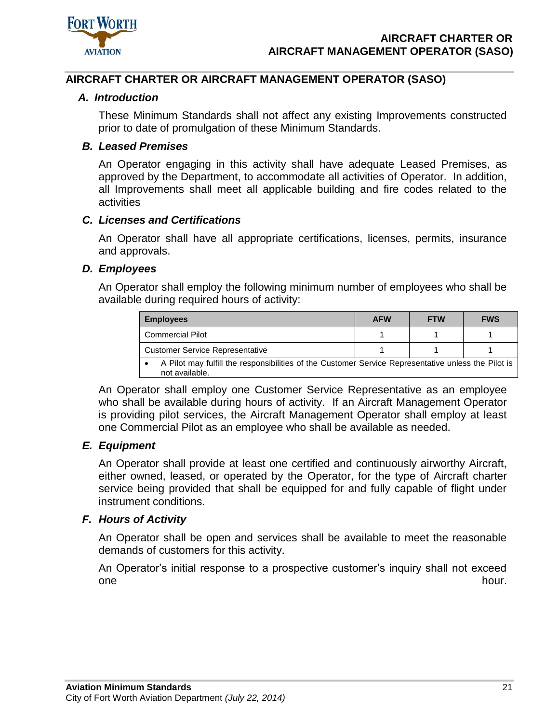

## <span id="page-24-1"></span><span id="page-24-0"></span>**AIRCRAFT CHARTER OR AIRCRAFT MANAGEMENT OPERATOR (SASO)**

#### *A. Introduction*

These Minimum Standards shall not affect any existing Improvements constructed prior to date of promulgation of these Minimum Standards.

#### <span id="page-24-2"></span>*B. Leased Premises*

An Operator engaging in this activity shall have adequate Leased Premises, as approved by the Department, to accommodate all activities of Operator. In addition, all Improvements shall meet all applicable building and fire codes related to the activities

#### <span id="page-24-3"></span>*C. Licenses and Certifications*

An Operator shall have all appropriate certifications, licenses, permits, insurance and approvals.

#### <span id="page-24-4"></span>*D. Employees*

An Operator shall employ the following minimum number of employees who shall be available during required hours of activity:

| <b>Employees</b>                                                                                                      | <b>AFW</b> | <b>FTW</b> | <b>FWS</b> |
|-----------------------------------------------------------------------------------------------------------------------|------------|------------|------------|
| Commercial Pilot                                                                                                      |            |            |            |
| <b>Customer Service Representative</b>                                                                                |            |            |            |
| A Pilot may fulfill the responsibilities of the Customer Service Representative unless the Pilot is<br>not available. |            |            |            |

An Operator shall employ one Customer Service Representative as an employee who shall be available during hours of activity. If an Aircraft Management Operator is providing pilot services, the Aircraft Management Operator shall employ at least one Commercial Pilot as an employee who shall be available as needed.

#### <span id="page-24-5"></span>*E. Equipment*

An Operator shall provide at least one certified and continuously airworthy Aircraft, either owned, leased, or operated by the Operator, for the type of Aircraft charter service being provided that shall be equipped for and fully capable of flight under instrument conditions.

#### <span id="page-24-6"></span>*F. Hours of Activity*

An Operator shall be open and services shall be available to meet the reasonable demands of customers for this activity.

An Operator's initial response to a prospective customer's inquiry shall not exceed one hour.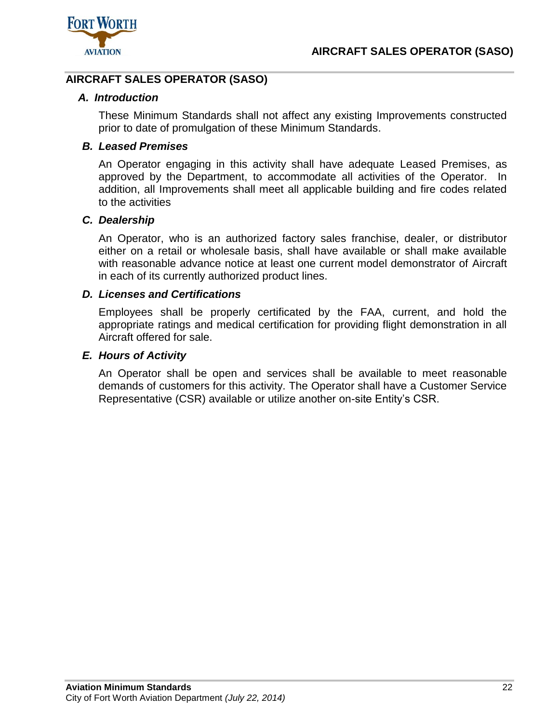

# <span id="page-25-1"></span><span id="page-25-0"></span>**AIRCRAFT SALES OPERATOR (SASO)**

## *A. Introduction*

These Minimum Standards shall not affect any existing Improvements constructed prior to date of promulgation of these Minimum Standards.

# <span id="page-25-2"></span>*B. Leased Premises*

An Operator engaging in this activity shall have adequate Leased Premises, as approved by the Department, to accommodate all activities of the Operator. In addition, all Improvements shall meet all applicable building and fire codes related to the activities

## <span id="page-25-3"></span>*C. Dealership*

An Operator, who is an authorized factory sales franchise, dealer, or distributor either on a retail or wholesale basis, shall have available or shall make available with reasonable advance notice at least one current model demonstrator of Aircraft in each of its currently authorized product lines.

## <span id="page-25-4"></span>*D. Licenses and Certifications*

Employees shall be properly certificated by the FAA, current, and hold the appropriate ratings and medical certification for providing flight demonstration in all Aircraft offered for sale.

## <span id="page-25-5"></span>*E. Hours of Activity*

An Operator shall be open and services shall be available to meet reasonable demands of customers for this activity. The Operator shall have a Customer Service Representative (CSR) available or utilize another on-site Entity's CSR.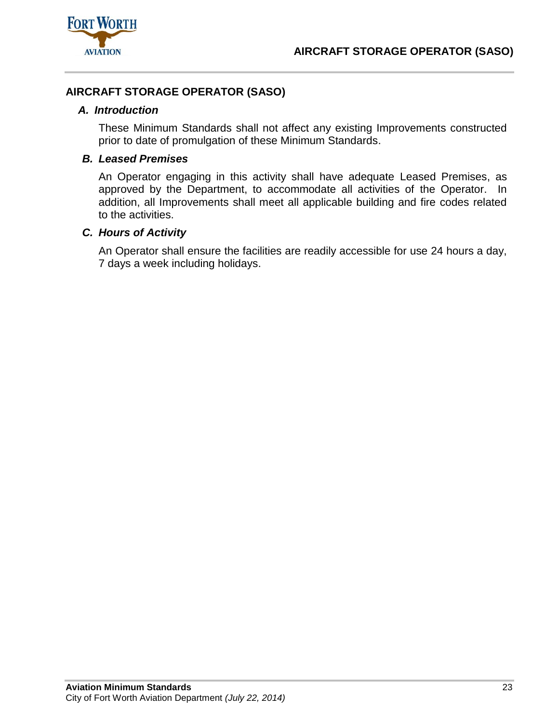

# <span id="page-26-1"></span><span id="page-26-0"></span>**AIRCRAFT STORAGE OPERATOR (SASO)**

## *A. Introduction*

These Minimum Standards shall not affect any existing Improvements constructed prior to date of promulgation of these Minimum Standards.

## <span id="page-26-2"></span>*B. Leased Premises*

An Operator engaging in this activity shall have adequate Leased Premises, as approved by the Department, to accommodate all activities of the Operator. In addition, all Improvements shall meet all applicable building and fire codes related to the activities.

## <span id="page-26-3"></span>*C. Hours of Activity*

An Operator shall ensure the facilities are readily accessible for use 24 hours a day, 7 days a week including holidays.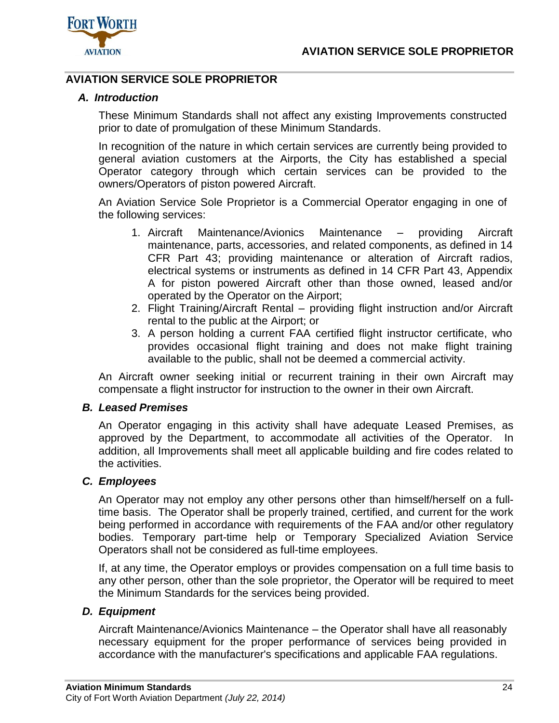

# <span id="page-27-1"></span><span id="page-27-0"></span>**AVIATION SERVICE SOLE PROPRIETOR**

## *A. Introduction*

These Minimum Standards shall not affect any existing Improvements constructed prior to date of promulgation of these Minimum Standards.

In recognition of the nature in which certain services are currently being provided to general aviation customers at the Airports, the City has established a special Operator category through which certain services can be provided to the owners/Operators of piston powered Aircraft.

An Aviation Service Sole Proprietor is a Commercial Operator engaging in one of the following services:

- 1. Aircraft Maintenance/Avionics Maintenance providing Aircraft maintenance, parts, accessories, and related components, as defined in 14 CFR Part 43; providing maintenance or alteration of Aircraft radios, electrical systems or instruments as defined in 14 CFR Part 43, Appendix A for piston powered Aircraft other than those owned, leased and/or operated by the Operator on the Airport;
- 2. Flight Training/Aircraft Rental providing flight instruction and/or Aircraft rental to the public at the Airport; or
- 3. A person holding a current FAA certified flight instructor certificate, who provides occasional flight training and does not make flight training available to the public, shall not be deemed a commercial activity.

An Aircraft owner seeking initial or recurrent training in their own Aircraft may compensate a flight instructor for instruction to the owner in their own Aircraft.

#### <span id="page-27-2"></span>*B. Leased Premises*

An Operator engaging in this activity shall have adequate Leased Premises, as approved by the Department, to accommodate all activities of the Operator. In addition, all Improvements shall meet all applicable building and fire codes related to the activities.

#### <span id="page-27-3"></span>*C. Employees*

An Operator may not employ any other persons other than himself/herself on a fulltime basis. The Operator shall be properly trained, certified, and current for the work being performed in accordance with requirements of the FAA and/or other regulatory bodies. Temporary part-time help or Temporary Specialized Aviation Service Operators shall not be considered as full-time employees.

If, at any time, the Operator employs or provides compensation on a full time basis to any other person, other than the sole proprietor, the Operator will be required to meet the Minimum Standards for the services being provided.

#### <span id="page-27-4"></span>*D. Equipment*

Aircraft Maintenance/Avionics Maintenance – the Operator shall have all reasonably necessary equipment for the proper performance of services being provided in accordance with the manufacturer's specifications and applicable FAA regulations.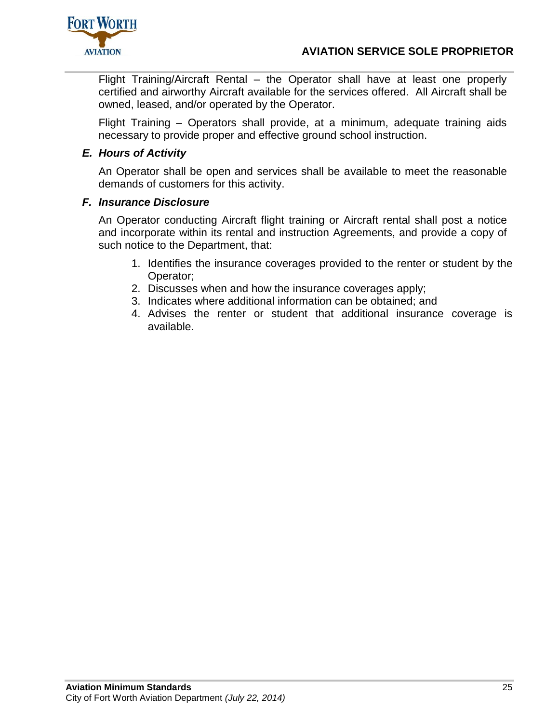

Flight Training/Aircraft Rental – the Operator shall have at least one properly certified and airworthy Aircraft available for the services offered. All Aircraft shall be owned, leased, and/or operated by the Operator.

Flight Training – Operators shall provide, at a minimum, adequate training aids necessary to provide proper and effective ground school instruction.

# <span id="page-28-0"></span>*E. Hours of Activity*

An Operator shall be open and services shall be available to meet the reasonable demands of customers for this activity.

## <span id="page-28-1"></span>*F. Insurance Disclosure*

An Operator conducting Aircraft flight training or Aircraft rental shall post a notice and incorporate within its rental and instruction Agreements, and provide a copy of such notice to the Department, that:

- 1. Identifies the insurance coverages provided to the renter or student by the Operator;
- 2. Discusses when and how the insurance coverages apply;
- 3. Indicates where additional information can be obtained; and
- 4. Advises the renter or student that additional insurance coverage is available.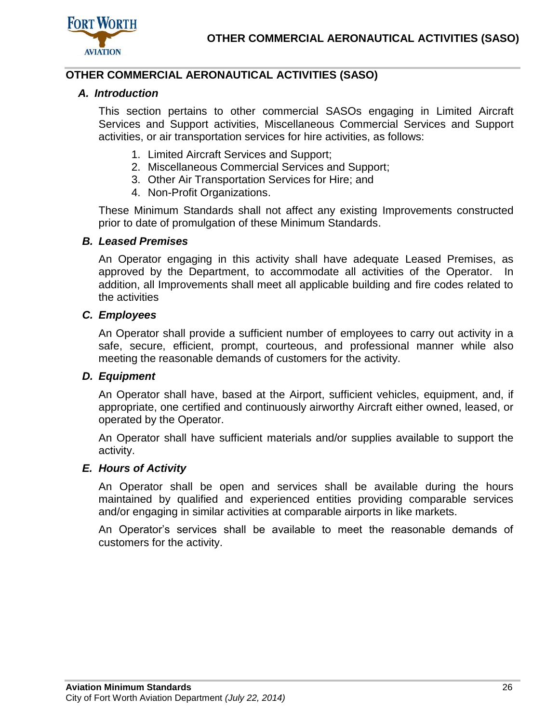

# <span id="page-29-1"></span><span id="page-29-0"></span>**OTHER COMMERCIAL AERONAUTICAL ACTIVITIES (SASO)**

## *A. Introduction*

This section pertains to other commercial SASOs engaging in Limited Aircraft Services and Support activities, Miscellaneous Commercial Services and Support activities, or air transportation services for hire activities, as follows:

- 1. Limited Aircraft Services and Support;
- 2. Miscellaneous Commercial Services and Support;
- 3. Other Air Transportation Services for Hire; and
- 4. Non-Profit Organizations.

These Minimum Standards shall not affect any existing Improvements constructed prior to date of promulgation of these Minimum Standards.

#### <span id="page-29-2"></span>*B. Leased Premises*

An Operator engaging in this activity shall have adequate Leased Premises, as approved by the Department, to accommodate all activities of the Operator. In addition, all Improvements shall meet all applicable building and fire codes related to the activities

## <span id="page-29-3"></span>*C. Employees*

An Operator shall provide a sufficient number of employees to carry out activity in a safe, secure, efficient, prompt, courteous, and professional manner while also meeting the reasonable demands of customers for the activity.

#### <span id="page-29-4"></span>*D. Equipment*

An Operator shall have, based at the Airport, sufficient vehicles, equipment, and, if appropriate, one certified and continuously airworthy Aircraft either owned, leased, or operated by the Operator.

An Operator shall have sufficient materials and/or supplies available to support the activity.

#### <span id="page-29-5"></span>*E. Hours of Activity*

An Operator shall be open and services shall be available during the hours maintained by qualified and experienced entities providing comparable services and/or engaging in similar activities at comparable airports in like markets.

An Operator's services shall be available to meet the reasonable demands of customers for the activity.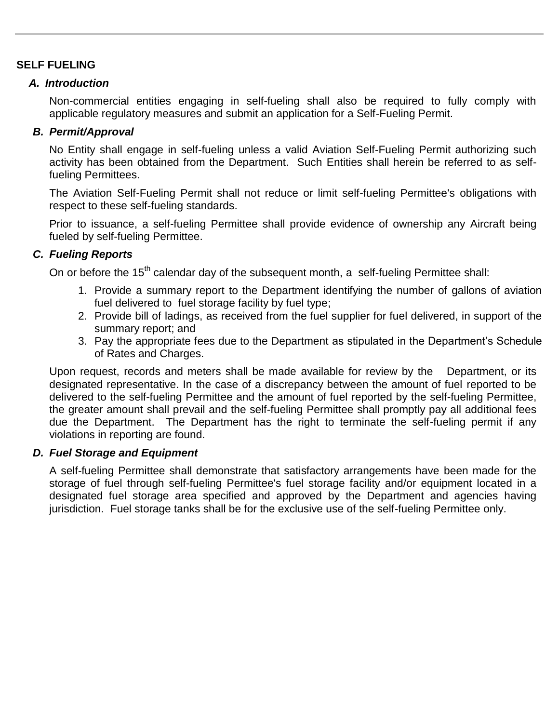# <span id="page-30-1"></span><span id="page-30-0"></span>**SELF FUELING**

# *A. Introduction*

Non-commercial entities engaging in self-fueling shall also be required to fully comply with applicable regulatory measures and submit an application for a Self-Fueling Permit.

# <span id="page-30-2"></span>*B. Permit/Approval*

No Entity shall engage in self-fueling unless a valid Aviation Self-Fueling Permit authorizing such activity has been obtained from the Department. Such Entities shall herein be referred to as selffueling Permittees.

The Aviation Self-Fueling Permit shall not reduce or limit self-fueling Permittee's obligations with respect to these self-fueling standards.

Prior to issuance, a self-fueling Permittee shall provide evidence of ownership any Aircraft being fueled by self-fueling Permittee.

# <span id="page-30-3"></span>*C. Fueling Reports*

On or before the 15<sup>th</sup> calendar day of the subsequent month, a self-fueling Permittee shall:

- 1. Provide a summary report to the Department identifying the number of gallons of aviation fuel delivered to fuel storage facility by fuel type;
- 2. Provide bill of ladings, as received from the fuel supplier for fuel delivered, in support of the summary report; and
- 3. Pay the appropriate fees due to the Department as stipulated in the Department's Schedule of Rates and Charges.

Upon request, records and meters shall be made available for review by the Department, or its designated representative. In the case of a discrepancy between the amount of fuel reported to be delivered to the self-fueling Permittee and the amount of fuel reported by the self-fueling Permittee, the greater amount shall prevail and the self-fueling Permittee shall promptly pay all additional fees due the Department. The Department has the right to terminate the self-fueling permit if any violations in reporting are found.

# <span id="page-30-4"></span>*D. Fuel Storage and Equipment*

A self-fueling Permittee shall demonstrate that satisfactory arrangements have been made for the storage of fuel through self-fueling Permittee's fuel storage facility and/or equipment located in a designated fuel storage area specified and approved by the Department and agencies having jurisdiction. Fuel storage tanks shall be for the exclusive use of the self-fueling Permittee only.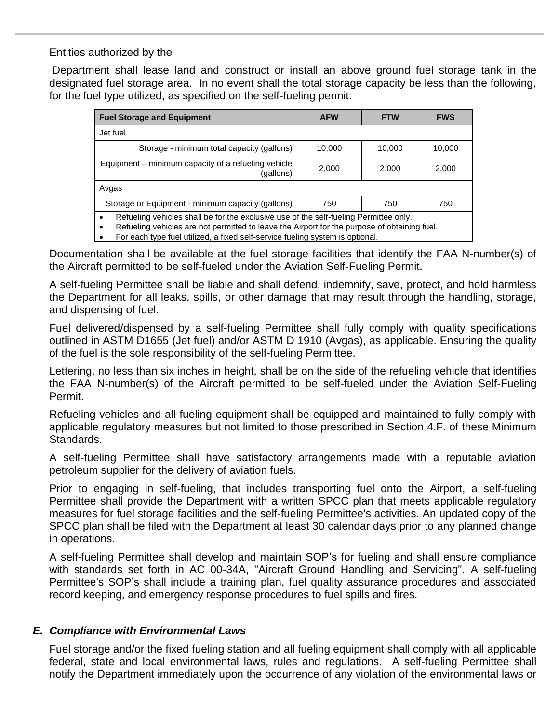# Entities authorized by the

Department shall lease land and construct or install an above ground fuel storage tank in the designated fuel storage area. In no event shall the total storage capacity be less than the following, for the fuel type utilized, as specified on the self-fueling permit:

| <b>Fuel Storage and Equipment</b>                                                                                                                                                                  | <b>AFW</b> | <b>FTW</b> | <b>FWS</b> |  |
|----------------------------------------------------------------------------------------------------------------------------------------------------------------------------------------------------|------------|------------|------------|--|
| Jet fuel                                                                                                                                                                                           |            |            |            |  |
| Storage - minimum total capacity (gallons)                                                                                                                                                         | 10,000     | 10,000     | 10,000     |  |
| Equipment – minimum capacity of a refueling vehicle<br>(gallons)                                                                                                                                   | 2,000      | 2,000      | 2,000      |  |
| Avgas                                                                                                                                                                                              |            |            |            |  |
| Storage or Equipment - minimum capacity (gallons)                                                                                                                                                  | 750        | 750        | 750        |  |
| Refueling vehicles shall be for the exclusive use of the self-fueling Permittee only.<br>$\bullet$<br>Refueling vehicles are not permitted to leave the Airport for the purpose of obtaining fuel. |            |            |            |  |

For each type fuel utilized, a fixed self-service fueling system is optional.

Documentation shall be available at the fuel storage facilities that identify the FAA N-number(s) of the Aircraft permitted to be self-fueled under the Aviation Self-Fueling Permit.

A self-fueling Permittee shall be liable and shall defend, indemnify, save, protect, and hold harmless the Department for all leaks, spills, or other damage that may result through the handling, storage, and dispensing of fuel.

Fuel delivered/dispensed by a self-fueling Permittee shall fully comply with quality specifications outlined in ASTM D1655 (Jet fuel) and/or ASTM D 1910 (Avgas), as applicable. Ensuring the quality of the fuel is the sole responsibility of the self-fueling Permittee.

Lettering, no less than six inches in height, shall be on the side of the refueling vehicle that identifies the FAA N-number(s) of the Aircraft permitted to be self-fueled under the Aviation Self-Fueling Permit.

Refueling vehicles and all fueling equipment shall be equipped and maintained to fully comply with applicable regulatory measures but not limited to those prescribed in Section 4.F. of these Minimum Standards.

A self-fueling Permittee shall have satisfactory arrangements made with a reputable aviation petroleum supplier for the delivery of aviation fuels.

Prior to engaging in self-fueling, that includes transporting fuel onto the Airport, a self-fueling Permittee shall provide the Department with a written SPCC plan that meets applicable regulatory measures for fuel storage facilities and the self-fueling Permittee's activities. An updated copy of the SPCC plan shall be filed with the Department at least 30 calendar days prior to any planned change in operations.

A self-fueling Permittee shall develop and maintain SOP's for fueling and shall ensure compliance with standards set forth in AC 00-34A, "Aircraft Ground Handling and Servicing". A self-fueling Permittee's SOP's shall include a training plan, fuel quality assurance procedures and associated record keeping, and emergency response procedures to fuel spills and fires.

# <span id="page-31-0"></span>*E. Compliance with Environmental Laws*

Fuel storage and/or the fixed fueling station and all fueling equipment shall comply with all applicable federal, state and local environmental laws, rules and regulations. A self-fueling Permittee shall notify the Department immediately upon the occurrence of any violation of the environmental laws or